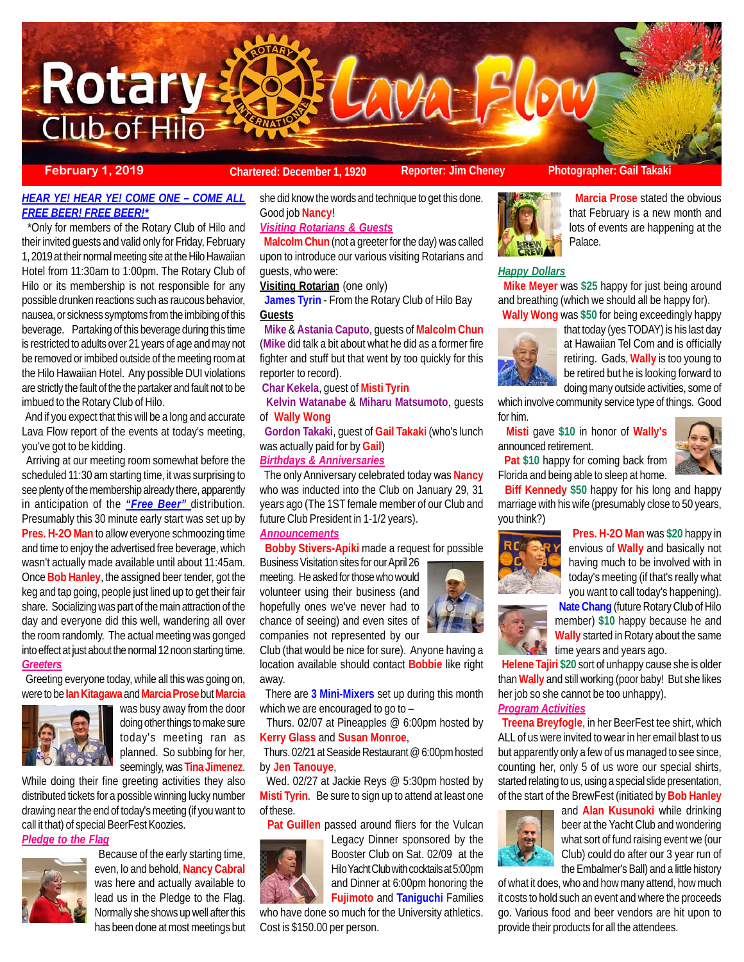

**February 1, 2019 Chartered: December 1, 1920 Reporter: Jim Cheney Photographer: Gail Takaki**

# *HEAR YE! HEAR YE! COME ONE – COME ALL FREE BEER! FREE BEER!\**

 \*Only for members of the Rotary Club of Hilo and their invited guests and valid only for Friday, February 1, 2019 at their normal meeting site at the Hilo Hawaiian Hotel from 11:30am to 1:00pm. The Rotary Club of Hilo or its membership is not responsible for any possible drunken reactions such as raucous behavior, nausea, or sickness symptoms from the imbibing of this beverage. Partaking of this beverage during this time is restricted to adults over 21 years of age and may not be removed or imbibed outside of the meeting room at the Hilo Hawaiian Hotel. Any possible DUI violations are strictly the fault of the the partaker and fault not to be imbued to the Rotary Club of Hilo.

 And if you expect that this will be a long and accurate Lava Flow report of the events at today's meeting, you've got to be kidding.

 Arriving at our meeting room somewhat before the scheduled 11:30 am starting time, it was surprising to see plenty of the membership already there, apparently in anticipation of the *"Free Beer"* distribution. Presumably this 30 minute early start was set up by **Pres. H-2O Man** to allow everyone schmoozing time and time to enjoy the advertised free beverage, which wasn't actually made available until about 11:45am. Once **Bob Hanley**, the assigned beer tender, got the keg and tap going, people just lined up to get their fair share. Socializing was part of the main attraction of the day and everyone did this well, wandering all over the room randomly. The actual meeting was gonged into effect at just about the normal 12 noon starting time. *Greeters*

 Greeting everyone today, while all this was going on, were to be **Ian Kitagawa** and **Marcia Prose** but **Marcia**



was busy away from the door doing other things to make sure today's meeting ran as planned. So subbing for her, seemingly, was **Tina Jimenez**.

While doing their fine greeting activities they also distributed tickets for a possible winning lucky number drawing near the end of today's meeting (if you want to call it that) of special BeerFest Koozies.

#### *Pledge to the Flag*



 Because of the early starting time, even, lo and behold, **Nancy Cabral** was here and actually available to lead us in the Pledge to the Flag. Normally she shows up well after this has been done at most meetings but

she did know the words and technique to get this done. Good job **Nancy**!

#### *Visiting Rotarians & Guests*

 **Malcolm Chun** (not a greeter for the day) was called upon to introduce our various visiting Rotarians and guests, who were:

**Visiting Rotarian** (one only)

 **James Tyrin** - From the Rotary Club of Hilo Bay **Guests**

 **Mike** & **Astania Caputo**, guests of **Malcolm Chun** (**Mike** did talk a bit about what he did as a former fire fighter and stuff but that went by too quickly for this reporter to record).

#### **Char Kekela**, guest of **Misti Tyrin**

 **Kelvin Watanabe** & **Miharu Matsumoto**, guests of **Wally Wong**

 **Gordon Takaki**, guest of **Gail Takaki** (who's lunch was actually paid for by **Gail**)

# *Birthdays & Anniversaries*

 The only Anniversary celebrated today was **Nancy** who was inducted into the Club on January 29, 31 years ago (The 1ST female member of our Club and future Club President in 1-1/2 years).

## *Announcements*

**Bobby Stivers-Apiki** made a request for possible

Business Visitation sites for our April 26 meeting. He asked for those who would volunteer using their business (and hopefully ones we've never had to chance of seeing) and even sites of companies not represented by our

Club (that would be nice for sure). Anyone having a location available should contact **Bobbie** like right away.

 There are **3 Mini-Mixers** set up during this month which we are encouraged to go to -

 Thurs. 02/07 at Pineapples @ 6:00pm hosted by **Kerry Glass** and **Susan Monroe**,

 Thurs. 02/21 at Seaside Restaurant @ 6:00pm hosted by **Jen Tanouye**,

Wed. 02/27 at Jackie Reys @ 5:30pm hosted by **Misti Tyrin**. Be sure to sign up to attend at least one of these.

**Pat Guillen** passed around fliers for the Vulcan



Legacy Dinner sponsored by the Booster Club on Sat. 02/09 at the Hilo Yacht Club with cocktails at 5:00pm and Dinner at 6:00pm honoring the

**Fujimoto** and **Taniguchi** Families

who have done so much for the University athletics. Cost is \$150.00 per person.



 **Marcia Prose** stated the obvious that February is a new month and lots of events are happening at the Palace.

#### *Happy Dollars*

 **Mike Meyer** was **\$25** happy for just being around and breathing (which we should all be happy for).



 **Wally Wong** was **\$50** for being exceedingly happy that today (yes TODAY) is his last day at Hawaiian Tel Com and is officially retiring. Gads, **Wally** is too young to be retired but he is looking forward to doing many outside activities, some of

which involve community service type of things. Good for him.

 **Misti** gave **\$10** in honor of **Wally's** announced retirement.



 **Pat \$10** happy for coming back from Florida and being able to sleep at home.

 **Biff Kennedy \$50** happy for his long and happy marriage with his wife (presumably close to 50 years, you think?)



 **Pres. H-2O Man** was **\$20** happy in envious of **Wally** and basically not having much to be involved with in today's meeting (if that's really what you want to call today's happening).



 **Helene Tajiri \$20** sort of unhappy cause she is older than **Wally** and still working (poor baby! But she likes her job so she cannot be too unhappy).

# *Program Activities*

赢

 **Treena Breyfogle**, in her BeerFest tee shirt, which ALL of us were invited to wear in her email blast to us but apparently only a few of us managed to see since, counting her, only 5 of us wore our special shirts, started relating to us, using a special slide presentation, of the start of the BrewFest (initiated by **Bob Hanley**



and **Alan Kusunoki** while drinking beer at the Yacht Club and wondering what sort of fund raising event we (our Club) could do after our 3 year run of the Embalmer's Ball) and a little history

of what it does, who and how many attend, how much it costs to hold such an event and where the proceeds go. Various food and beer vendors are hit upon to provide their products for all the attendees.